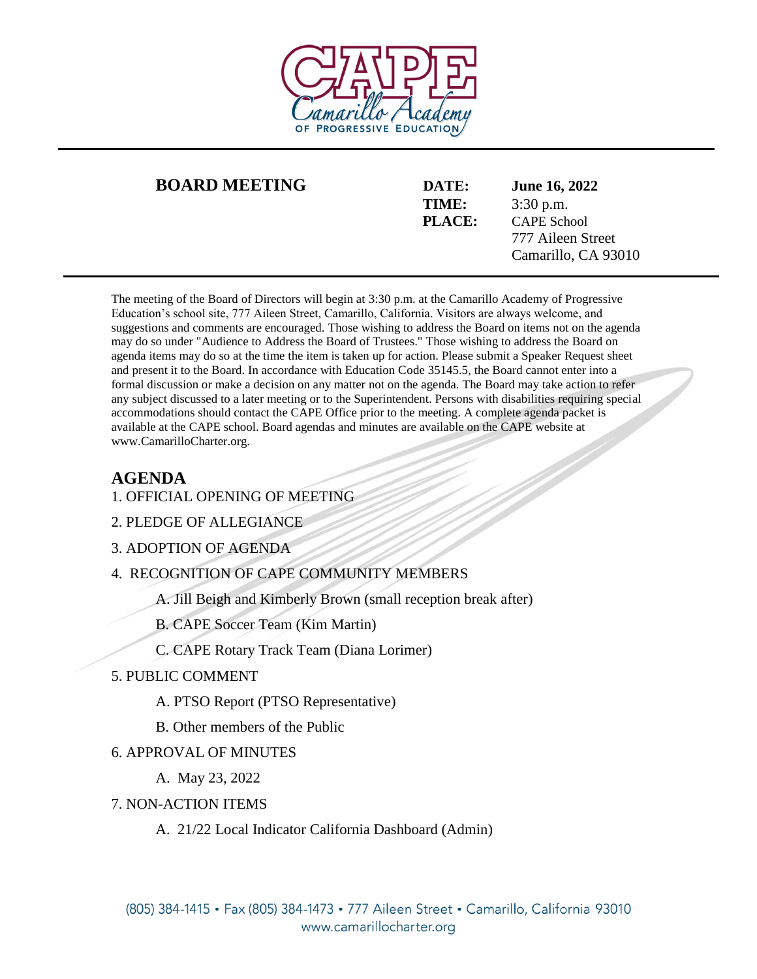

## **BOARD MEETING DATE: June 16, 2022**

**TIME:** 3:30 p.m. **PLACE:** CAPE School 777 Aileen Street Camarillo, CA 93010

The meeting of the Board of Directors will begin at 3:30 p.m. at the Camarillo Academy of Progressive Education's school site, 777 Aileen Street, Camarillo, California. Visitors are always welcome, and suggestions and comments are encouraged. Those wishing to address the Board on items not on the agenda may do so under "Audience to Address the Board of Trustees." Those wishing to address the Board on agenda items may do so at the time the item is taken up for action. Please submit a Speaker Request sheet and present it to the Board. In accordance with Education Code 35145.5, the Board cannot enter into a formal discussion or make a decision on any matter not on the agenda. The Board may take action to refer any subject discussed to a later meeting or to the Superintendent. Persons with disabilities requiring special accommodations should contact the CAPE Office prior to the meeting. A complete agenda packet is available at the CAPE school. Board agendas and minutes are available on the CAPE website at www.CamarilloCharter.org.

## **AGENDA**

- 1. OFFICIAL OPENING OF MEETING
- 2. PLEDGE OF ALLEGIANCE

3. ADOPTION OF AGENDA

4. RECOGNITION OF CAPE COMMUNITY MEMBERS

A. Jill Beigh and Kimberly Brown (small reception break after)

B. CAPE Soccer Team (Kim Martin)

C. CAPE Rotary Track Team (Diana Lorimer)

- 5. PUBLIC COMMENT
	- A. PTSO Report (PTSO Representative)
	- B. Other members of the Public

## 6. APPROVAL OF MINUTES

- A. May 23, 2022
- 7. NON-ACTION ITEMS
	- A. 21/22 Local Indicator California Dashboard (Admin)